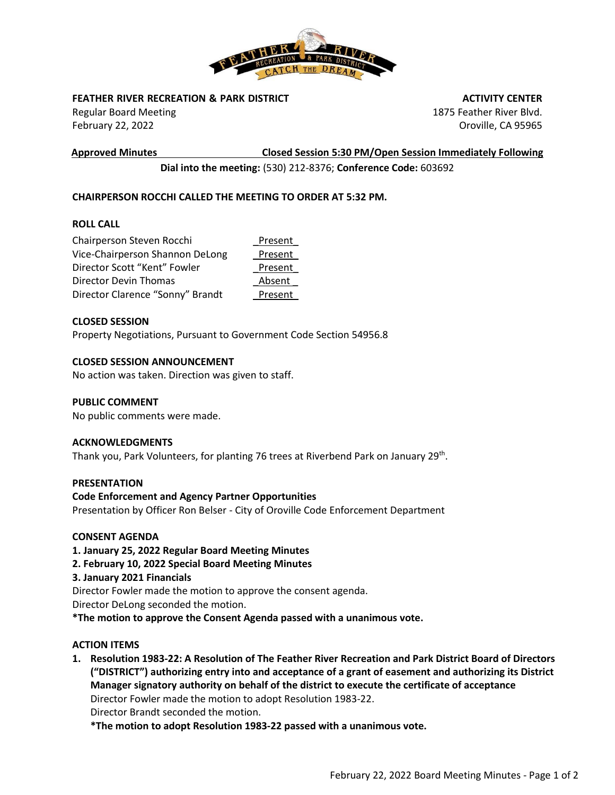

# **FEATHER RIVER RECREATION & PARK DISTRICT**

Regular Board Meeting February 22, 2022

**Approved Minutes Closed Session 5:30 PM/Open Session Immediately Following**

 **ACTIVITY CENTER** 1875 Feather River Blvd. Oroville, CA 95965

**Dial into the meeting:** (530) 212-8376; **Conference Code:** 603692

# **CHAIRPERSON ROCCHI CALLED THE MEETING TO ORDER AT 5:32 PM.**

# **ROLL CALL**

| Chairperson Steven Rocchi        | Present |
|----------------------------------|---------|
| Vice-Chairperson Shannon DeLong  | Present |
| Director Scott "Kent" Fowler     | Present |
| Director Devin Thomas            | Absent  |
| Director Clarence "Sonny" Brandt | Present |

### **CLOSED SESSION**

Property Negotiations, Pursuant to Government Code Section 54956.8

# **CLOSED SESSION ANNOUNCEMENT**

No action was taken. Direction was given to staff.

# **PUBLIC COMMENT**

No public comments were made.

#### **ACKNOWLEDGMENTS**

Thank you, Park Volunteers, for planting 76 trees at Riverbend Park on January 29<sup>th</sup>.

#### **PRESENTATION**

#### **Code Enforcement and Agency Partner Opportunities**

Presentation by Officer Ron Belser - City of Oroville Code Enforcement Department

#### **CONSENT AGENDA**

- **1. January 25, 2022 Regular Board Meeting Minutes**
- **2. February 10, 2022 Special Board Meeting Minutes**

# **3. January 2021 Financials**

Director Fowler made the motion to approve the consent agenda. Director DeLong seconded the motion.

**\*The motion to approve the Consent Agenda passed with a unanimous vote.**

#### **ACTION ITEMS**

**1. Resolution 1983-22: A Resolution of The Feather River Recreation and Park District Board of Directors ("DISTRICT") authorizing entry into and acceptance of a grant of easement and authorizing its District Manager signatory authority on behalf of the district to execute the certificate of acceptance**  Director Fowler made the motion to adopt Resolution 1983-22. Director Brandt seconded the motion.

**\*The motion to adopt Resolution 1983-22 passed with a unanimous vote.**